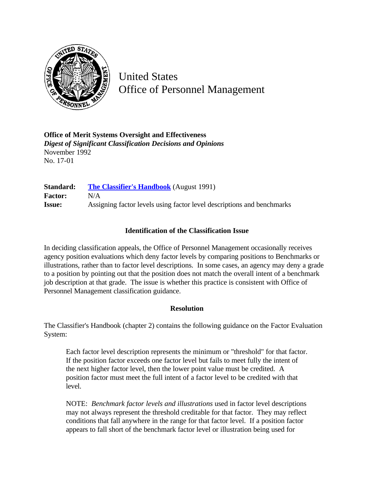

United States Office of Personnel Management

**Office of Merit Systems Oversight and Effectiveness** *Digest of Significant Classification Decisions and Opinions* November 1992 No. 17-01

**Standard: [The Classifier's Handbook](http://www.opm.gov/hr/fedclass/clashnbk.pdf)** (August 1991) **Factor:** N/A **Issue:** Assigning factor levels using factor level descriptions and benchmarks

## **Identification of the Classification Issue**

In deciding classification appeals, the Office of Personnel Management occasionally receives agency position evaluations which deny factor levels by comparing positions to Benchmarks or illustrations, rather than to factor level descriptions. In some cases, an agency may deny a grade to a position by pointing out that the position does not match the overall intent of a benchmark job description at that grade. The issue is whether this practice is consistent with Office of Personnel Management classification guidance.

## **Resolution**

The Classifier's Handbook (chapter 2) contains the following guidance on the Factor Evaluation System:

Each factor level description represents the minimum or "threshold" for that factor. If the position factor exceeds one factor level but fails to meet fully the intent of the next higher factor level, then the lower point value must be credited. A position factor must meet the full intent of a factor level to be credited with that level.

NOTE: *Benchmark factor levels and illustrations* used in factor level descriptions may not always represent the threshold creditable for that factor. They may reflect conditions that fall anywhere in the range for that factor level. If a position factor appears to fall short of the benchmark factor level or illustration being used for